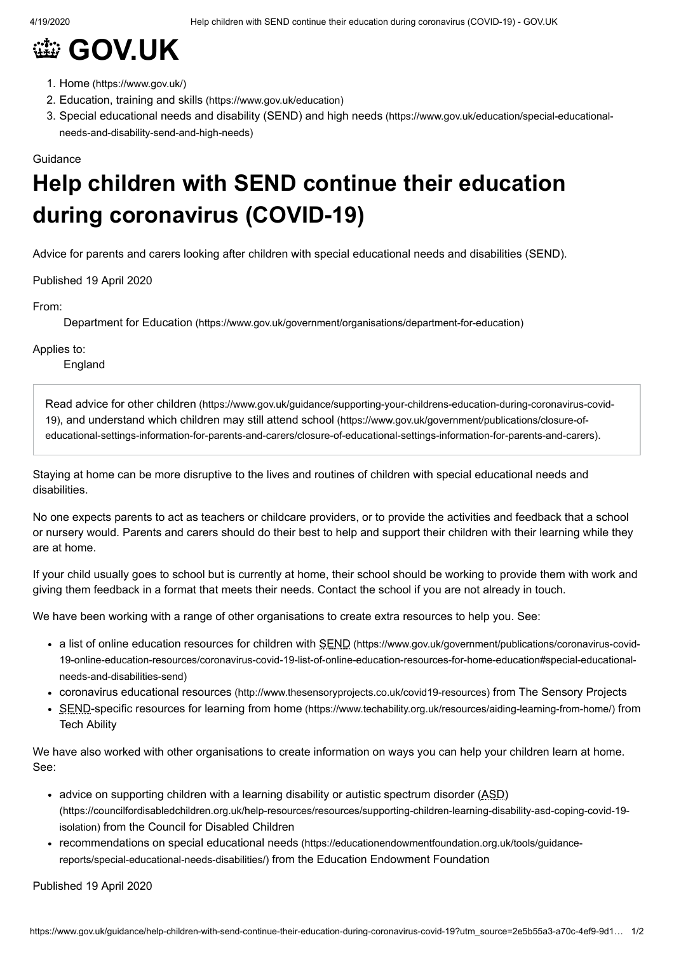## **@ [GOV.UK](https://www.gov.uk/)**

- 1. Home [\(https://www.gov.uk/\)](https://www.gov.uk/)
- 2. Education, training and skills [\(https://www.gov.uk/education\)](https://www.gov.uk/education)
- 3. Special educational needs and disability (SEND) and high needs [\(https://www.gov.uk/education/special-educational](https://www.gov.uk/education/special-educational-needs-and-disability-send-and-high-needs)needs-and-disability-send-and-high-needs)

## Guidance

## **Help children with SEND continue their education during coronavirus (COVID-19)**

Advice for parents and carers looking after children with special educational needs and disabilities (SEND).

Published 19 April 2020

From:

Department for Education [\(https://www.gov.uk/government/organisations/department-for-education\)](https://www.gov.uk/government/organisations/department-for-education)

Applies to:

England

Read advice for other children [\(https://www.gov.uk/guidance/supporting-your-childrens-education-during-coronavirus-covid-](https://www.gov.uk/guidance/supporting-your-childrens-education-during-coronavirus-covid-19)19), and understand which children may still attend school (https://www.gov.uk/government/publications/closure-of[educational-settings-information-for-parents-and-carers/closure-of-educational-settings-information-for-parents-and-carers\)](https://www.gov.uk/government/publications/closure-of-educational-settings-information-for-parents-and-carers/closure-of-educational-settings-information-for-parents-and-carers).

Staying at home can be more disruptive to the lives and routines of children with special educational needs and disabilities.

No one expects parents to act as teachers or childcare providers, or to provide the activities and feedback that a school or nursery would. Parents and carers should do their best to help and support their children with their learning while they are at home.

If your child usually goes to school but is currently at home, their school should be working to provide them with work and giving them feedback in a format that meets their needs. Contact the school if you are not already in touch.

We have been working with a range of other organisations to create extra resources to help you. See:

- a list of online education resources for children with SEND (https://www.gov.uk/government/publications/coronavirus-covid-[19-online-education-resources/coronavirus-covid-19-list-of-online-education-resources-for-home-education#special-educational](https://www.gov.uk/government/publications/coronavirus-covid-19-online-education-resources/coronavirus-covid-19-list-of-online-education-resources-for-home-education#special-educational-needs-and-disabilities-send)needs-and-disabilities-send)
- coronavirus educational resources [\(http://www.thesensoryprojects.co.uk/covid19-resources\)](http://www.thesensoryprojects.co.uk/covid19-resources) from The Sensory Projects
- SEND-specific resources for learning from home [\(https://www.techability.org.uk/resources/aiding-learning-from-home/\)](https://www.techability.org.uk/resources/aiding-learning-from-home/) from Tech Ability

We have also worked with other organisations to create information on ways you can help your children learn at home. See:

- advice on supporting children with a learning disability or autistic spectrum disorder  $(ASD)$ [\(https://councilfordisabledchildren.org.uk/help-resources/resources/supporting-children-learning-disability-asd-coping-covid-19](https://councilfordisabledchildren.org.uk/help-resources/resources/supporting-children-learning-disability-asd-coping-covid-19-isolation) isolation) from the Council for Disabled Children
- recommendations on special educational needs [\(https://educationendowmentfoundation.org.uk/tools/guidance](https://educationendowmentfoundation.org.uk/tools/guidance-reports/special-educational-needs-disabilities/)reports/special-educational-needs-disabilities/) from the Education Endowment Foundation

Published 19 April 2020